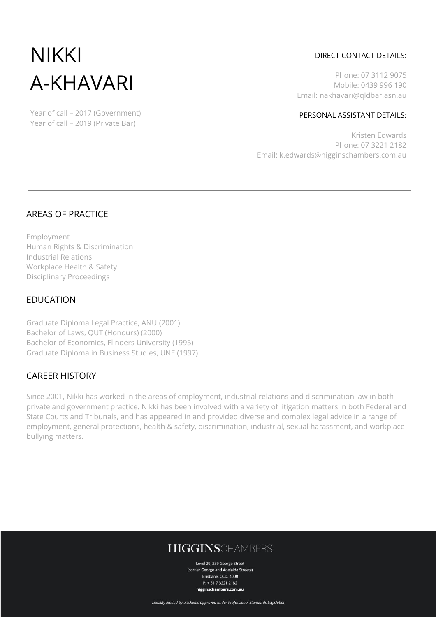# NIKKI A-KHAVARI

Year of call – 2017 (Government) Year of call – 2019 (Private Bar)

## DIRECT CONTACT DETAILS:

Phone: 07 3112 9075 Mobile: 0439 996 190 Email: nakhavari@qldbar.asn.au

#### PERSONAL ASSISTANT DETAILS:

Kristen Edwards Phone: 07 3221 2182 Email: k.edwards@higginschambers.com.au

## AREAS OF PRACTICE

Employment Human Rights & Discrimination Industrial Relations Workplace Health & Safety Disciplinary Proceedings

## EDUCATION

Graduate Diploma Legal Practice, ANU (2001) Bachelor of Laws, QUT (Honours) (2000) Bachelor of Economics, Flinders University (1995) Graduate Diploma in Business Studies, UNE (1997)

## CAREER HISTORY

Since 2001, Nikki has worked in the areas of employment, industrial relations and discrimination law in both private and government practice. Nikki has been involved with a variety of litigation matters in both Federal and State Courts and Tribunals, and has appeared in and provided diverse and complex legal advice in a range of employment, general protections, health & safety, discrimination, industrial, sexual harassment, and workplace bullying matters.

# **HIGGINSCHAMBERS**

Level 29, 239 George Street (corner George and Adelaide Streets) Brisbane, OLD, 4000 P: + 61 7 3221 2182 higginschambers.com.au

Liability limited by a scheme approved under Professional Standards Legislation